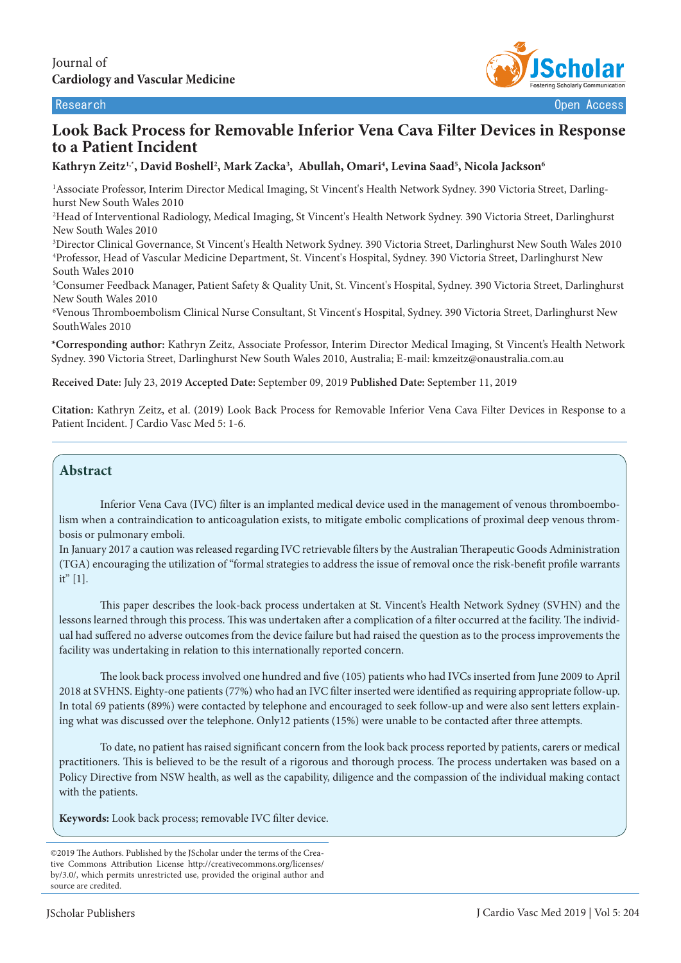

# **Look Back Process for Removable Inferior Vena Cava Filter Devices in Response to a Patient Incident**

# **Kathryn Zeitz1,\*, David Boshell2 , Mark Zacka3 , Abullah, Omari4 , Levina Saad5 , Nicola Jackson6**

<sup>1</sup> Associate Professor, Interim Director Medical Imaging, St Vincent's Health Network Sydney. 390 Victoria Street, Darlinghurst New South Wales 2010

2 Head of Interventional Radiology, Medical Imaging, St Vincent's Health Network Sydney. 390 Victoria Street, Darlinghurst New South Wales 2010

3 Director Clinical Governance, St Vincent's Health Network Sydney. 390 Victoria Street, Darlinghurst New South Wales 2010 4 Professor, Head of Vascular Medicine Department, St. Vincent's Hospital, Sydney. 390 Victoria Street, Darlinghurst New South Wales 2010

5 Consumer Feedback Manager, Patient Safety & Quality Unit, St. Vincent's Hospital, Sydney. 390 Victoria Street, Darlinghurst New South Wales 2010

6 Venous Thromboembolism Clinical Nurse Consultant, St Vincent's Hospital, Sydney. 390 Victoria Street, Darlinghurst New SouthWales 2010

**\*Corresponding author:** Kathryn Zeitz, Associate Professor, Interim Director Medical Imaging, St Vincent's Health Network Sydney. 390 Victoria Street, Darlinghurst New South Wales 2010, Australia; E-mail: kmzeitz@onaustralia.com.au

**Received Date:** July 23, 2019 **Accepted Date:** September 09, 2019 **Published Date:** September 11, 2019

**Citation:** Kathryn Zeitz, et al. (2019) Look Back Process for Removable Inferior Vena Cava Filter Devices in Response to a Patient Incident. J Cardio Vasc Med 5: 1-6.

## **Abstract**

Inferior Vena Cava (IVC) filter is an implanted medical device used in the management of venous thromboembolism when a contraindication to anticoagulation exists, to mitigate embolic complications of proximal deep venous thrombosis or pulmonary emboli.

In January 2017 a caution was released regarding IVC retrievable filters by the Australian Therapeutic Goods Administration (TGA) encouraging the utilization of "formal strategies to address the issue of removal once the risk-benefit profile warrants it" [1].

This paper describes the look-back process undertaken at St. Vincent's Health Network Sydney (SVHN) and the lessons learned through this process. This was undertaken after a complication of a filter occurred at the facility. The individual had suffered no adverse outcomes from the device failure but had raised the question as to the process improvements the facility was undertaking in relation to this internationally reported concern.

The look back process involved one hundred and five (105) patients who had IVCs inserted from June 2009 to April 2018 at SVHNS. Eighty-one patients (77%) who had an IVC filter inserted were identified as requiring appropriate follow-up. In total 69 patients (89%) were contacted by telephone and encouraged to seek follow-up and were also sent letters explaining what was discussed over the telephone. Only12 patients (15%) were unable to be contacted after three attempts.

To date, no patient has raised significant concern from the look back process reported by patients, carers or medical practitioners. This is believed to be the result of a rigorous and thorough process. The process undertaken was based on a Policy Directive from NSW health, as well as the capability, diligence and the compassion of the individual making contact with the patients.

**Keywords:** Look back process; removable IVC filter device.

<sup>©2019</sup> The Authors. Published by the JScholar under the terms of the Creative Commons Attribution License http://creativecommons.org/licenses/ by/3.0/, which permits unrestricted use, provided the original author and source are credited.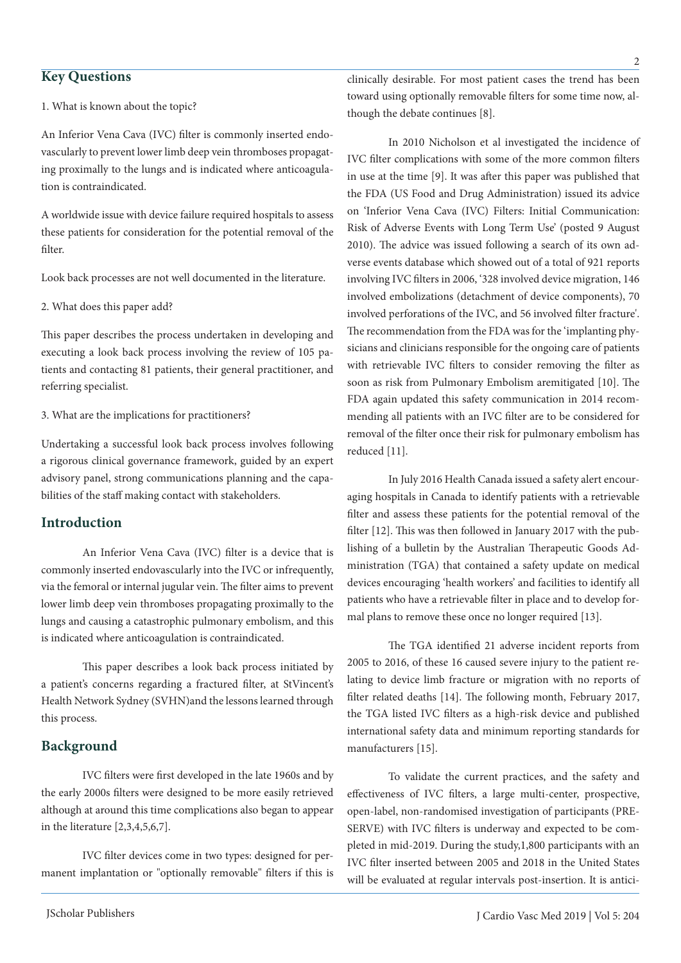1. What is known about the topic?

An Inferior Vena Cava (IVC) filter is commonly inserted endovascularly to prevent lower limb deep vein thromboses propagating proximally to the lungs and is indicated where anticoagulation is contraindicated.

A worldwide issue with device failure required hospitals to assess these patients for consideration for the potential removal of the filter.

Look back processes are not well documented in the literature.

2. What does this paper add?

This paper describes the process undertaken in developing and executing a look back process involving the review of 105 patients and contacting 81 patients, their general practitioner, and referring specialist.

3. What are the implications for practitioners?

Undertaking a successful look back process involves following a rigorous clinical governance framework, guided by an expert advisory panel, strong communications planning and the capabilities of the staff making contact with stakeholders.

## **Introduction**

An Inferior Vena Cava (IVC) filter is a device that is commonly inserted endovascularly into the IVC or infrequently, via the femoral or internal jugular vein. The filter aims to prevent lower limb deep vein thromboses propagating proximally to the lungs and causing a catastrophic pulmonary embolism, and this is indicated where anticoagulation is contraindicated.

This paper describes a look back process initiated by a patient's concerns regarding a fractured filter, at StVincent's Health Network Sydney (SVHN)and the lessons learned through this process.

#### **Background**

IVC filters were first developed in the late 1960s and by the early 2000s filters were designed to be more easily retrieved although at around this time complications also began to appear in the literature [2,3,4,5,6,7].

IVC filter devices come in two types: designed for permanent implantation or "optionally removable" filters if this is clinically desirable. For most patient cases the trend has been toward using optionally removable filters for some time now, although the debate continues [8].

In 2010 Nicholson et al investigated the incidence of IVC filter complications with some of the more common filters in use at the time [9]. It was after this paper was published that the FDA (US Food and Drug Administration) issued its advice on 'Inferior Vena Cava (IVC) Filters: Initial Communication: Risk of Adverse Events with Long Term Use' (posted 9 August 2010). The advice was issued following a search of its own adverse events database which showed out of a total of 921 reports involving IVC filters in 2006, '328 involved device migration, 146 involved embolizations (detachment of device components), 70 involved perforations of the IVC, and 56 involved filter fracture'. The recommendation from the FDA was for the 'implanting physicians and clinicians responsible for the ongoing care of patients with retrievable IVC filters to consider removing the filter as soon as risk from Pulmonary Embolism aremitigated [10]. The FDA again updated this safety communication in 2014 recommending all patients with an IVC filter are to be considered for removal of the filter once their risk for pulmonary embolism has reduced [11].

In July 2016 Health Canada issued a safety alert encouraging hospitals in Canada to identify patients with a retrievable filter and assess these patients for the potential removal of the filter [12]. This was then followed in January 2017 with the publishing of a bulletin by the Australian Therapeutic Goods Administration (TGA) that contained a safety update on medical devices encouraging 'health workers' and facilities to identify all patients who have a retrievable filter in place and to develop formal plans to remove these once no longer required [13].

The TGA identified 21 adverse incident reports from 2005 to 2016, of these 16 caused severe injury to the patient relating to device limb fracture or migration with no reports of filter related deaths [14]. The following month, February 2017, the TGA listed IVC filters as a high-risk device and published international safety data and minimum reporting standards for manufacturers [15].

To validate the current practices, and the safety and effectiveness of IVC filters, a large multi-center, prospective, open-label, non-randomised investigation of participants (PRE-SERVE) with IVC filters is underway and expected to be completed in mid-2019. During the study,1,800 participants with an IVC filter inserted between 2005 and 2018 in the United States will be evaluated at regular intervals post-insertion. It is antici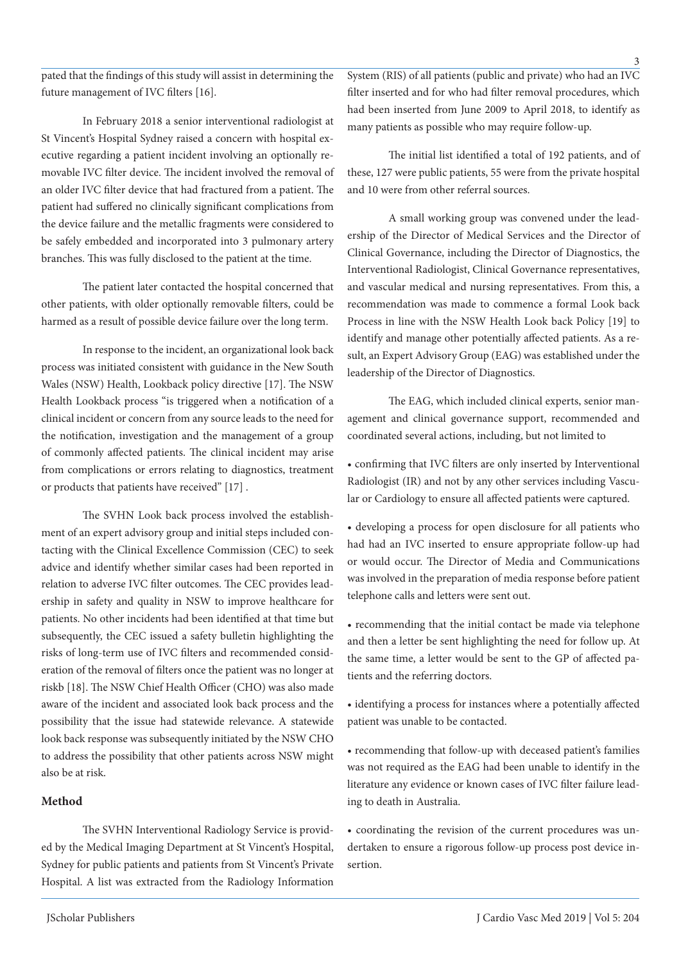pated that the findings of this study will assist in determining the future management of IVC filters [16].

In February 2018 a senior interventional radiologist at St Vincent's Hospital Sydney raised a concern with hospital executive regarding a patient incident involving an optionally removable IVC filter device. The incident involved the removal of an older IVC filter device that had fractured from a patient. The patient had suffered no clinically significant complications from the device failure and the metallic fragments were considered to be safely embedded and incorporated into 3 pulmonary artery branches. This was fully disclosed to the patient at the time.

The patient later contacted the hospital concerned that other patients, with older optionally removable filters, could be harmed as a result of possible device failure over the long term.

In response to the incident, an organizational look back process was initiated consistent with guidance in the New South Wales (NSW) Health, Lookback policy directive [17]. The NSW Health Lookback process "is triggered when a notification of a clinical incident or concern from any source leads to the need for the notification, investigation and the management of a group of commonly affected patients. The clinical incident may arise from complications or errors relating to diagnostics, treatment or products that patients have received" [17] .

The SVHN Look back process involved the establishment of an expert advisory group and initial steps included contacting with the Clinical Excellence Commission (CEC) to seek advice and identify whether similar cases had been reported in relation to adverse IVC filter outcomes. The CEC provides leadership in safety and quality in NSW to improve healthcare for patients. No other incidents had been identified at that time but subsequently, the CEC issued a safety bulletin highlighting the risks of long-term use of IVC filters and recommended consideration of the removal of filters once the patient was no longer at riskb [18]. The NSW Chief Health Officer (CHO) was also made aware of the incident and associated look back process and the possibility that the issue had statewide relevance. A statewide look back response was subsequently initiated by the NSW CHO to address the possibility that other patients across NSW might also be at risk.

## **Method**

The SVHN Interventional Radiology Service is provided by the Medical Imaging Department at St Vincent's Hospital, Sydney for public patients and patients from St Vincent's Private Hospital. A list was extracted from the Radiology Information

System (RIS) of all patients (public and private) who had an IVC filter inserted and for who had filter removal procedures, which had been inserted from June 2009 to April 2018, to identify as many patients as possible who may require follow-up.

The initial list identified a total of 192 patients, and of these, 127 were public patients, 55 were from the private hospital and 10 were from other referral sources.

A small working group was convened under the leadership of the Director of Medical Services and the Director of Clinical Governance, including the Director of Diagnostics, the Interventional Radiologist, Clinical Governance representatives, and vascular medical and nursing representatives. From this, a recommendation was made to commence a formal Look back Process in line with the NSW Health Look back Policy [19] to identify and manage other potentially affected patients. As a result, an Expert Advisory Group (EAG) was established under the leadership of the Director of Diagnostics.

The EAG, which included clinical experts, senior management and clinical governance support, recommended and coordinated several actions, including, but not limited to

• confirming that IVC filters are only inserted by Interventional Radiologist (IR) and not by any other services including Vascular or Cardiology to ensure all affected patients were captured.

• developing a process for open disclosure for all patients who had had an IVC inserted to ensure appropriate follow-up had or would occur. The Director of Media and Communications was involved in the preparation of media response before patient telephone calls and letters were sent out.

• recommending that the initial contact be made via telephone and then a letter be sent highlighting the need for follow up. At the same time, a letter would be sent to the GP of affected patients and the referring doctors.

• identifying a process for instances where a potentially affected patient was unable to be contacted.

• recommending that follow-up with deceased patient's families was not required as the EAG had been unable to identify in the literature any evidence or known cases of IVC filter failure leading to death in Australia.

• coordinating the revision of the current procedures was undertaken to ensure a rigorous follow-up process post device insertion.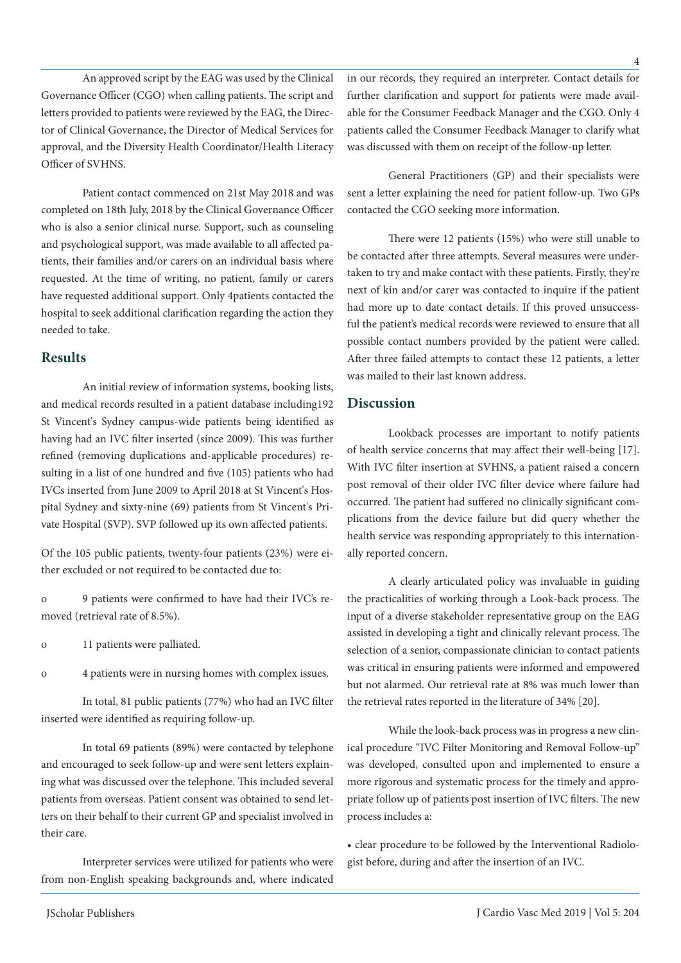An approved script by the EAG was used by the Clinical Governance Officer (CGO) when calling patients. The script and letters provided to patients were reviewed by the EAG, the Director of Clinical Governance, the Director of Medical Services for approval, and the Diversity Health Coordinator/Health Literacy Officer of SVHNS.

Patient contact commenced on 21st May 2018 and was completed on 18th July, 2018 by the Clinical Governance Officer who is also a senior clinical nurse. Support, such as counseling and psychological support, was made available to all affected patients, their families and/or carers on an individual basis where requested. At the time of writing, no patient, family or carers have requested additional support. Only 4patients contacted the hospital to seek additional clarification regarding the action they needed to take.

#### **Results**

An initial review of information systems, booking lists, and medical records resulted in a patient database including192 St Vincent's Sydney campus-wide patients being identified as having had an IVC filter inserted (since 2009). This was further refined (removing duplications and-applicable procedures) resulting in a list of one hundred and five (105) patients who had IVCs inserted from June 2009 to April 2018 at St Vincent's Hospital Sydney and sixty-nine (69) patients from St Vincent's Private Hospital (SVP). SVP followed up its own affected patients.

Of the 105 public patients, twenty-four patients (23%) were either excluded or not required to be contacted due to:

o 9 patients were confirmed to have had their IVC's removed (retrieval rate of 8.5%).

- o 11 patients were palliated.
- o 4 patients were in nursing homes with complex issues.

In total, 81 public patients (77%) who had an IVC filter inserted were identified as requiring follow-up.

In total 69 patients (89%) were contacted by telephone and encouraged to seek follow-up and were sent letters explaining what was discussed over the telephone. This included several patients from overseas. Patient consent was obtained to send letters on their behalf to their current GP and specialist involved in their care.

Interpreter services were utilized for patients who were from non-English speaking backgrounds and, where indicated

in our records, they required an interpreter. Contact details for further clarification and support for patients were made available for the Consumer Feedback Manager and the CGO. Only 4 patients called the Consumer Feedback Manager to clarify what was discussed with them on receipt of the follow-up letter.

General Practitioners (GP) and their specialists were sent a letter explaining the need for patient follow-up. Two GPs contacted the CGO seeking more information.

There were 12 patients (15%) who were still unable to be contacted after three attempts. Several measures were undertaken to try and make contact with these patients. Firstly, they're next of kin and/or carer was contacted to inquire if the patient had more up to date contact details. If this proved unsuccessful the patient's medical records were reviewed to ensure that all possible contact numbers provided by the patient were called. After three failed attempts to contact these 12 patients, a letter was mailed to their last known address.

#### **Discussion**

Lookback processes are important to notify patients of health service concerns that may affect their well-being [17]. With IVC filter insertion at SVHNS, a patient raised a concern post removal of their older IVC filter device where failure had occurred. The patient had suffered no clinically significant complications from the device failure but did query whether the health service was responding appropriately to this internationally reported concern.

A clearly articulated policy was invaluable in guiding the practicalities of working through a Look-back process. The input of a diverse stakeholder representative group on the EAG assisted in developing a tight and clinically relevant process. The selection of a senior, compassionate clinician to contact patients was critical in ensuring patients were informed and empowered but not alarmed. Our retrieval rate at 8% was much lower than the retrieval rates reported in the literature of 34% [20].

While the look-back process was in progress a new clinical procedure "IVC Filter Monitoring and Removal Follow-up" was developed, consulted upon and implemented to ensure a more rigorous and systematic process for the timely and appropriate follow up of patients post insertion of IVC filters. The new process includes a:

• clear procedure to be followed by the Interventional Radiologist before, during and after the insertion of an IVC.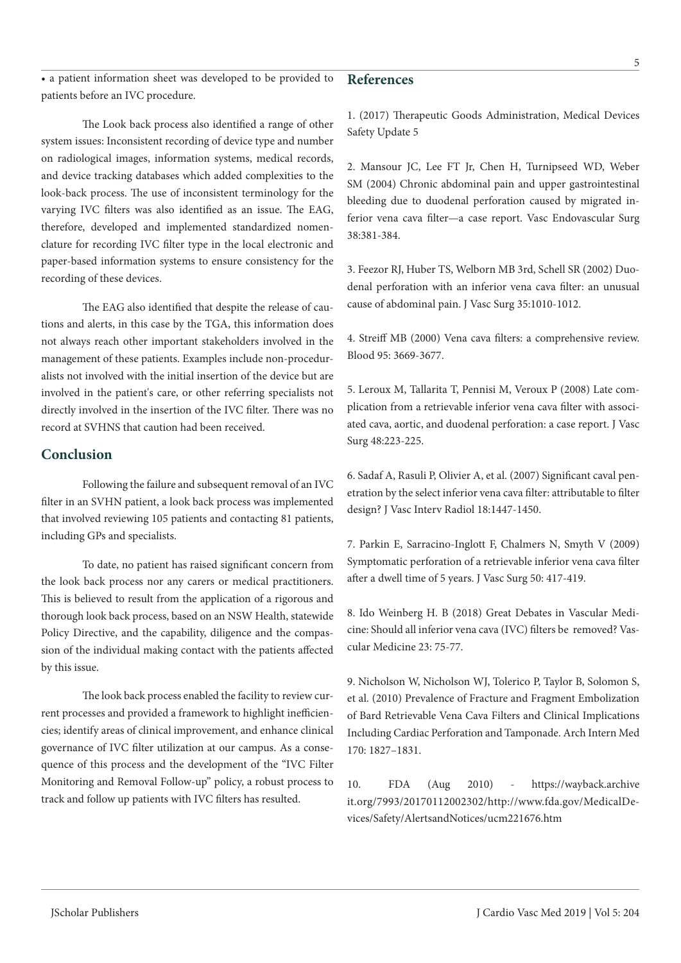The Look back process also identified a range of other system issues: Inconsistent recording of device type and number on radiological images, information systems, medical records, and device tracking databases which added complexities to the look-back process. The use of inconsistent terminology for the varying IVC filters was also identified as an issue. The EAG, therefore, developed and implemented standardized nomenclature for recording IVC filter type in the local electronic and paper-based information systems to ensure consistency for the recording of these devices.

• a patient information sheet was developed to be provided to

patients before an IVC procedure.

The EAG also identified that despite the release of cautions and alerts, in this case by the TGA, this information does not always reach other important stakeholders involved in the management of these patients. Examples include non-proceduralists not involved with the initial insertion of the device but are involved in the patient's care, or other referring specialists not directly involved in the insertion of the IVC filter. There was no record at SVHNS that caution had been received.

# **Conclusion**

Following the failure and subsequent removal of an IVC filter in an SVHN patient, a look back process was implemented that involved reviewing 105 patients and contacting 81 patients, including GPs and specialists.

To date, no patient has raised significant concern from the look back process nor any carers or medical practitioners. This is believed to result from the application of a rigorous and thorough look back process, based on an NSW Health, statewide Policy Directive, and the capability, diligence and the compassion of the individual making contact with the patients affected by this issue.

The look back process enabled the facility to review current processes and provided a framework to highlight inefficiencies; identify areas of clinical improvement, and enhance clinical governance of IVC filter utilization at our campus. As a consequence of this process and the development of the "IVC Filter Monitoring and Removal Follow-up" policy, a robust process to track and follow up patients with IVC filters has resulted.

1. (2017) Therapeutic Goods Administration, Medical Devices Safety Update 5

2. Mansour JC, Lee FT Jr, Chen H, Turnipseed WD, Weber SM (2004) Chronic abdominal pain and upper gastrointestinal bleeding due to duodenal perforation caused by migrated inferior vena cava filter—a case report. Vasc Endovascular Surg 38:381-384.

3. Feezor RJ, Huber TS, Welborn MB 3rd, Schell SR (2002) Duodenal perforation with an inferior vena cava filter: an unusual cause of abdominal pain. J Vasc Surg 35:1010-1012.

4. Streiff MB (2000) Vena cava filters: a comprehensive review. Blood 95: 3669-3677.

5. Leroux M, Tallarita T, Pennisi M, Veroux P (2008) Late complication from a retrievable inferior vena cava filter with associated cava, aortic, and duodenal perforation: a case report. J Vasc Surg 48:223-225.

6. Sadaf A, Rasuli P, Olivier A, et al. (2007) Significant caval penetration by the select inferior vena cava filter: attributable to filter design? J Vasc Interv Radiol 18:1447-1450.

7. Parkin E, Sarracino-Inglott F, Chalmers N, Smyth V (2009) Symptomatic perforation of a retrievable inferior vena cava filter after a dwell time of 5 years. J Vasc Surg 50: 417-419.

8. Ido Weinberg H. B (2018) Great Debates in Vascular Medicine: Should all inferior vena cava (IVC) filters be removed? Vascular Medicine 23: 75-77.

9. Nicholson W, Nicholson WJ, Tolerico P, Taylor B, Solomon S, et al. (2010) Prevalence of Fracture and Fragment Embolization of Bard Retrievable Vena Cava Filters and Clinical Implications Including Cardiac Perforation and Tamponade. Arch Intern Med 170: 1827–1831.

10. FDA (Aug 2010) - https://wayback.archive it.org/7993/20170112002302/http://www.fda.gov/MedicalDevices/Safety/AlertsandNotices/ucm221676.htm